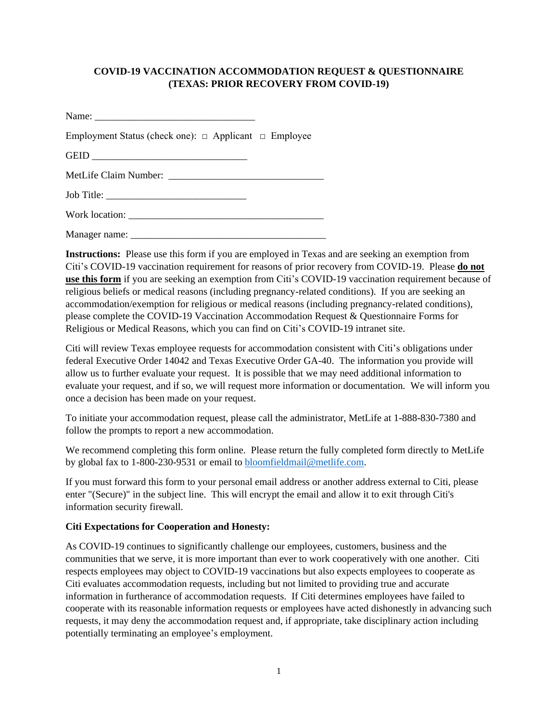## **COVID-19 VACCINATION ACCOMMODATION REQUEST & QUESTIONNAIRE (TEXAS: PRIOR RECOVERY FROM COVID-19)**

Name: \_\_\_\_\_\_\_\_\_\_\_\_\_\_\_\_\_\_\_\_\_\_\_\_\_\_\_\_\_\_\_\_ Employment Status (check one):  $\Box$  Applicant  $\Box$  Employee GEID \_\_\_\_\_\_\_\_\_\_\_\_\_\_\_\_\_\_\_\_\_\_\_\_\_\_\_\_\_\_\_ MetLife Claim Number: \_\_\_\_\_\_\_\_\_\_\_\_\_\_\_\_\_\_\_\_\_\_\_\_\_\_\_\_\_\_\_

Job Title: \_\_\_\_\_\_\_\_\_\_\_\_\_\_\_\_\_\_\_\_\_\_\_\_\_\_\_\_

Work location:

Manager name: \_\_\_\_\_\_\_\_\_\_\_\_\_\_\_\_\_\_\_\_\_\_\_\_\_\_\_\_\_\_\_\_\_\_\_\_\_\_\_

**Instructions:** Please use this form if you are employed in Texas and are seeking an exemption from Citi's COVID-19 vaccination requirement for reasons of prior recovery from COVID-19. Please **do not use this form** if you are seeking an exemption from Citi's COVID-19 vaccination requirement because of religious beliefs or medical reasons (including pregnancy-related conditions). If you are seeking an accommodation/exemption for religious or medical reasons (including pregnancy-related conditions), please complete the COVID-19 Vaccination Accommodation Request & Questionnaire Forms for Religious or Medical Reasons, which you can find on Citi's COVID-19 intranet site.

Citi will review Texas employee requests for accommodation consistent with Citi's obligations under federal Executive Order 14042 and Texas Executive Order GA-40. The information you provide will allow us to further evaluate your request. It is possible that we may need additional information to evaluate your request, and if so, we will request more information or documentation. We will inform you once a decision has been made on your request.

To initiate your accommodation request, please call the administrator, MetLife at 1-888-830-7380 and follow the prompts to report a new accommodation.

We recommend completing this form online. Please return the fully completed form directly to MetLife by global fax to 1-800-230-9531 or email to [bloomfieldmail@metlife.com.](mailto:bloomfieldmail@metlife.com)

If you must forward this form to your personal email address or another address external to Citi, please enter "(Secure)" in the subject line. This will encrypt the email and allow it to exit through Citi's information security firewall.

## **Citi Expectations for Cooperation and Honesty:**

As COVID-19 continues to significantly challenge our employees, customers, business and the communities that we serve, it is more important than ever to work cooperatively with one another. Citi respects employees may object to COVID-19 vaccinations but also expects employees to cooperate as Citi evaluates accommodation requests, including but not limited to providing true and accurate information in furtherance of accommodation requests. If Citi determines employees have failed to cooperate with its reasonable information requests or employees have acted dishonestly in advancing such requests, it may deny the accommodation request and, if appropriate, take disciplinary action including potentially terminating an employee's employment.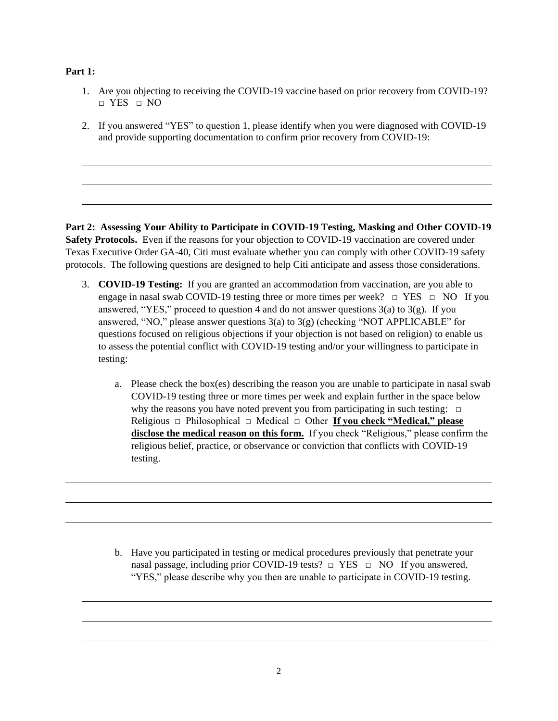## **Part 1:**

- 1. Are you objecting to receiving the COVID-19 vaccine based on prior recovery from COVID-19?  $\neg$  YES  $\neg$  NO
- 2. If you answered "YES" to question 1, please identify when you were diagnosed with COVID-19 and provide supporting documentation to confirm prior recovery from COVID-19:

**Part 2: Assessing Your Ability to Participate in COVID-19 Testing, Masking and Other COVID-19 Safety Protocols.** Even if the reasons for your objection to COVID-19 vaccination are covered under Texas Executive Order GA-40, Citi must evaluate whether you can comply with other COVID-19 safety protocols. The following questions are designed to help Citi anticipate and assess those considerations.

- 3. **COVID-19 Testing:** If you are granted an accommodation from vaccination, are you able to engage in nasal swab COVID-19 testing three or more times per week?  $\Box$  YES  $\Box$  NO If you answered, "YES," proceed to question 4 and do not answer questions  $3(a)$  to  $3(g)$ . If you answered, "NO," please answer questions  $3(a)$  to  $3(g)$  (checking "NOT APPLICABLE" for questions focused on religious objections if your objection is not based on religion) to enable us to assess the potential conflict with COVID-19 testing and/or your willingness to participate in testing:
	- a. Please check the box(es) describing the reason you are unable to participate in nasal swab COVID-19 testing three or more times per week and explain further in the space below why the reasons you have noted prevent you from participating in such testing:  $□$ Religious □ Philosophical □ Medical □ Other **If you check "Medical," please disclose the medical reason on this form.** If you check "Religious," please confirm the religious belief, practice, or observance or conviction that conflicts with COVID-19 testing.

b. Have you participated in testing or medical procedures previously that penetrate your nasal passage, including prior COVID-19 tests?  $\Box$  YES  $\Box$  NO If you answered, "YES," please describe why you then are unable to participate in COVID-19 testing.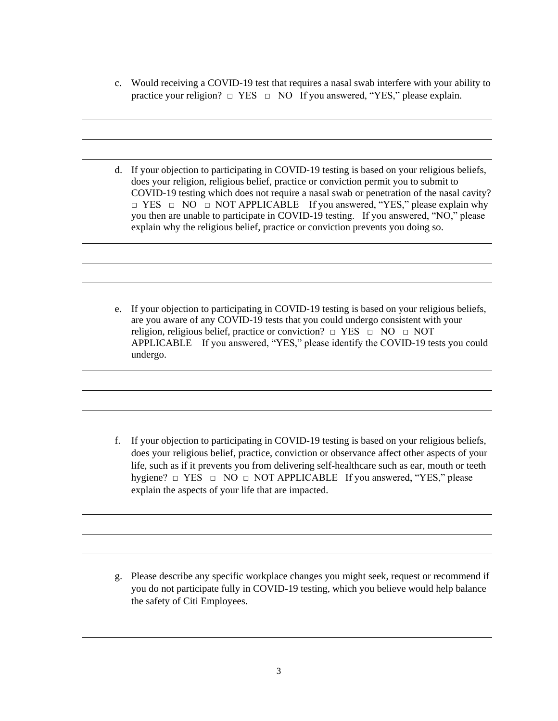- c. Would receiving a COVID-19 test that requires a nasal swab interfere with your ability to practice your religion?  $\Box$  YES  $\Box$  NO If you answered, "YES," please explain.
- d. If your objection to participating in COVID-19 testing is based on your religious beliefs, does your religion, religious belief, practice or conviction permit you to submit to COVID-19 testing which does not require a nasal swab or penetration of the nasal cavity? □ YES □ NO □ NOT APPLICABLE If you answered, "YES," please explain why you then are unable to participate in COVID-19 testing. If you answered, "NO," please explain why the religious belief, practice or conviction prevents you doing so.
- e. If your objection to participating in COVID-19 testing is based on your religious beliefs, are you aware of any COVID-19 tests that you could undergo consistent with your religion, religious belief, practice or conviction?  $\Box$  YES  $\Box$  NO  $\Box$  NOT APPLICABLE If you answered, "YES," please identify the COVID-19 tests you could undergo.

f. If your objection to participating in COVID-19 testing is based on your religious beliefs, does your religious belief, practice, conviction or observance affect other aspects of your life, such as if it prevents you from delivering self-healthcare such as ear, mouth or teeth hygiene?  $\Box$  YES  $\Box$  NO  $\Box$  NOT APPLICABLE If you answered, "YES," please explain the aspects of your life that are impacted.

g. Please describe any specific workplace changes you might seek, request or recommend if you do not participate fully in COVID-19 testing, which you believe would help balance the safety of Citi Employees.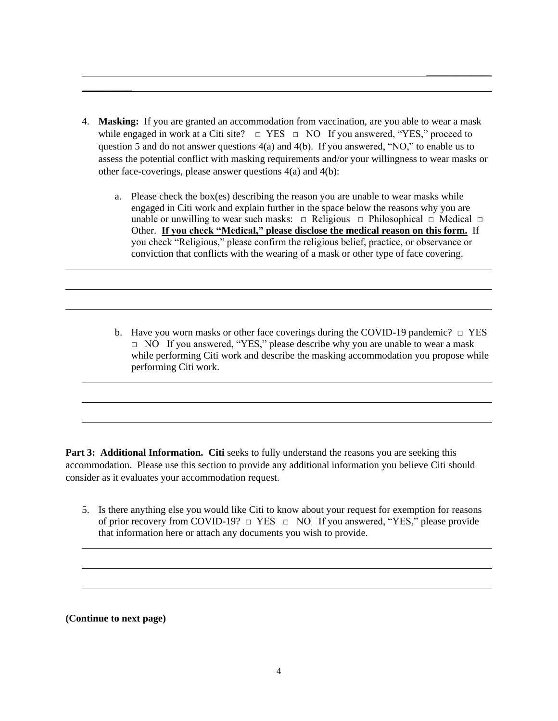4. **Masking:** If you are granted an accommodation from vaccination, are you able to wear a mask while engaged in work at a Citi site?  $\Box$  YES  $\Box$  NO If you answered, "YES," proceed to question 5 and do not answer questions 4(a) and 4(b). If you answered, "NO," to enable us to assess the potential conflict with masking requirements and/or your willingness to wear masks or other face-coverings, please answer questions 4(a) and 4(b):

\_\_\_\_\_\_\_\_\_\_\_\_\_

- a. Please check the box(es) describing the reason you are unable to wear masks while engaged in Citi work and explain further in the space below the reasons why you are unable or unwilling to wear such masks:  $\Box$  Religious  $\Box$  Philosophical  $\Box$  Medical  $\Box$ Other. **If you check "Medical," please disclose the medical reason on this form.** If you check "Religious," please confirm the religious belief, practice, or observance or conviction that conflicts with the wearing of a mask or other type of face covering.
- b. Have you worn masks or other face coverings during the COVID-19 pandemic?  $\Box$  YES  $\Box$  NO If you answered, "YES," please describe why you are unable to wear a mask while performing Citi work and describe the masking accommodation you propose while performing Citi work.

**Part 3: Additional Information. Citi** seeks to fully understand the reasons you are seeking this accommodation. Please use this section to provide any additional information you believe Citi should consider as it evaluates your accommodation request.

5. Is there anything else you would like Citi to know about your request for exemption for reasons of prior recovery from COVID-19?  $\Box$  YES  $\Box$  NO If you answered, "YES," please provide that information here or attach any documents you wish to provide.

**(Continue to next page)**

 $\overline{\phantom{a}}$